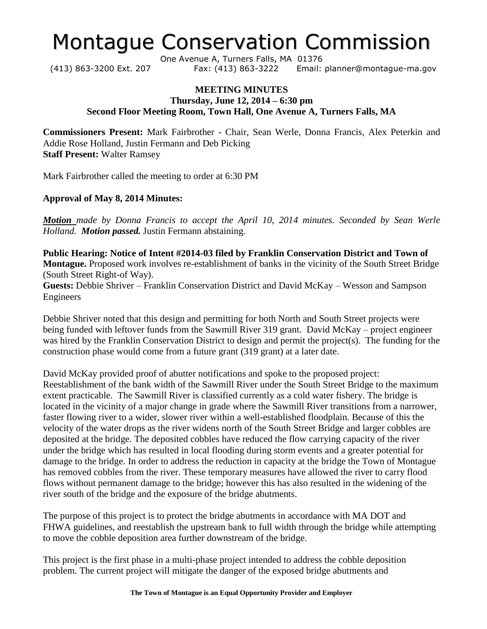# Montague Conservation Commission

One Avenue A, Turners Falls, MA 01376 (413) 863-3200 Ext. 207 Fax: (413) 863-3222 Email: planner@montague-ma.gov

### **MEETING MINUTES Thursday, June 12, 2014 – 6:30 pm Second Floor Meeting Room, Town Hall, One Avenue A, Turners Falls, MA**

**Commissioners Present:** Mark Fairbrother - Chair, Sean Werle, Donna Francis, Alex Peterkin and Addie Rose Holland, Justin Fermann and Deb Picking **Staff Present:** Walter Ramsey

Mark Fairbrother called the meeting to order at 6:30 PM

#### **Approval of May 8, 2014 Minutes:**

*Motion made by Donna Francis to accept the April 10, 2014 minutes. Seconded by Sean Werle Holland. Motion passed.* Justin Fermann abstaining.

**Public Hearing: Notice of Intent #2014-03 filed by Franklin Conservation District and Town of Montague.** Proposed work involves re-establishment of banks in the vicinity of the South Street Bridge (South Street Right-of Way).

**Guests:** Debbie Shriver – Franklin Conservation District and David McKay – Wesson and Sampson Engineers

Debbie Shriver noted that this design and permitting for both North and South Street projects were being funded with leftover funds from the Sawmill River 319 grant. David McKay – project engineer was hired by the Franklin Conservation District to design and permit the project(s). The funding for the construction phase would come from a future grant (319 grant) at a later date.

David McKay provided proof of abutter notifications and spoke to the proposed project: Reestablishment of the bank width of the Sawmill River under the South Street Bridge to the maximum extent practicable. The Sawmill River is classified currently as a cold water fishery. The bridge is located in the vicinity of a major change in grade where the Sawmill River transitions from a narrower, faster flowing river to a wider, slower river within a well-established floodplain. Because of this the velocity of the water drops as the river widens north of the South Street Bridge and larger cobbles are deposited at the bridge. The deposited cobbles have reduced the flow carrying capacity of the river under the bridge which has resulted in local flooding during storm events and a greater potential for damage to the bridge. In order to address the reduction in capacity at the bridge the Town of Montague has removed cobbles from the river. These temporary measures have allowed the river to carry flood flows without permanent damage to the bridge; however this has also resulted in the widening of the river south of the bridge and the exposure of the bridge abutments.

The purpose of this project is to protect the bridge abutments in accordance with MA DOT and FHWA guidelines, and reestablish the upstream bank to full width through the bridge while attempting to move the cobble deposition area further downstream of the bridge.

This project is the first phase in a multi-phase project intended to address the cobble deposition problem. The current project will mitigate the danger of the exposed bridge abutments and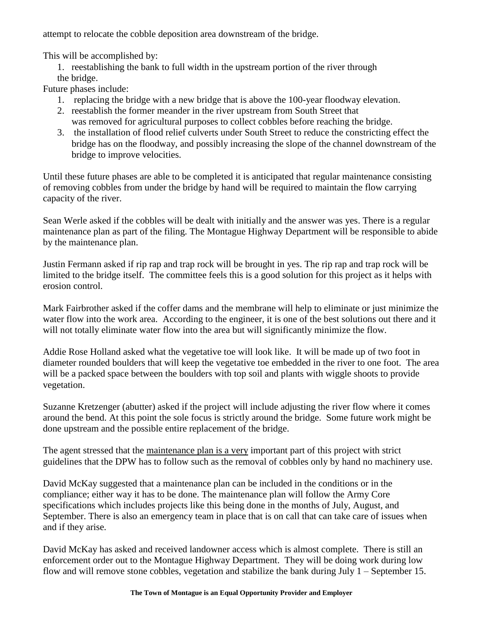attempt to relocate the cobble deposition area downstream of the bridge.

This will be accomplished by:

1. reestablishing the bank to full width in the upstream portion of the river through the bridge.

Future phases include:

- 1. replacing the bridge with a new bridge that is above the 100-year floodway elevation.
- 2. reestablish the former meander in the river upstream from South Street that
- was removed for agricultural purposes to collect cobbles before reaching the bridge. 3. the installation of flood relief culverts under South Street to reduce the constricting effect the bridge has on the floodway, and possibly increasing the slope of the channel downstream of the bridge to improve velocities.

Until these future phases are able to be completed it is anticipated that regular maintenance consisting of removing cobbles from under the bridge by hand will be required to maintain the flow carrying capacity of the river.

Sean Werle asked if the cobbles will be dealt with initially and the answer was yes. There is a regular maintenance plan as part of the filing. The Montague Highway Department will be responsible to abide by the maintenance plan.

Justin Fermann asked if rip rap and trap rock will be brought in yes. The rip rap and trap rock will be limited to the bridge itself. The committee feels this is a good solution for this project as it helps with erosion control.

Mark Fairbrother asked if the coffer dams and the membrane will help to eliminate or just minimize the water flow into the work area. According to the engineer, it is one of the best solutions out there and it will not totally eliminate water flow into the area but will significantly minimize the flow.

Addie Rose Holland asked what the vegetative toe will look like. It will be made up of two foot in diameter rounded boulders that will keep the vegetative toe embedded in the river to one foot. The area will be a packed space between the boulders with top soil and plants with wiggle shoots to provide vegetation.

Suzanne Kretzenger (abutter) asked if the project will include adjusting the river flow where it comes around the bend. At this point the sole focus is strictly around the bridge. Some future work might be done upstream and the possible entire replacement of the bridge.

The agent stressed that the maintenance plan is a very important part of this project with strict guidelines that the DPW has to follow such as the removal of cobbles only by hand no machinery use.

David McKay suggested that a maintenance plan can be included in the conditions or in the compliance; either way it has to be done. The maintenance plan will follow the Army Core specifications which includes projects like this being done in the months of July, August, and September. There is also an emergency team in place that is on call that can take care of issues when and if they arise.

David McKay has asked and received landowner access which is almost complete. There is still an enforcement order out to the Montague Highway Department. They will be doing work during low flow and will remove stone cobbles, vegetation and stabilize the bank during July 1 – September 15.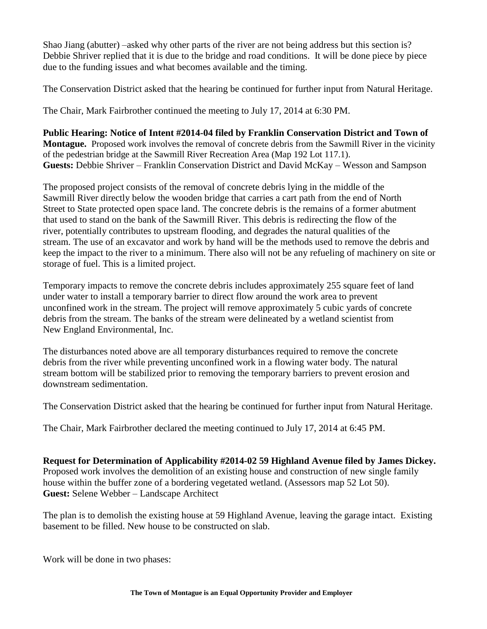Shao Jiang (abutter) –asked why other parts of the river are not being address but this section is? Debbie Shriver replied that it is due to the bridge and road conditions. It will be done piece by piece due to the funding issues and what becomes available and the timing.

The Conservation District asked that the hearing be continued for further input from Natural Heritage.

The Chair, Mark Fairbrother continued the meeting to July 17, 2014 at 6:30 PM.

**Public Hearing: Notice of Intent #2014-04 filed by Franklin Conservation District and Town of Montague.** Proposed work involves the removal of concrete debris from the Sawmill River in the vicinity of the pedestrian bridge at the Sawmill River Recreation Area (Map 192 Lot 117.1). **Guests:** Debbie Shriver – Franklin Conservation District and David McKay – Wesson and Sampson

The proposed project consists of the removal of concrete debris lying in the middle of the Sawmill River directly below the wooden bridge that carries a cart path from the end of North Street to State protected open space land. The concrete debris is the remains of a former abutment that used to stand on the bank of the Sawmill River. This debris is redirecting the flow of the river, potentially contributes to upstream flooding, and degrades the natural qualities of the stream. The use of an excavator and work by hand will be the methods used to remove the debris and keep the impact to the river to a minimum. There also will not be any refueling of machinery on site or storage of fuel. This is a limited project.

Temporary impacts to remove the concrete debris includes approximately 255 square feet of land under water to install a temporary barrier to direct flow around the work area to prevent unconfined work in the stream. The project will remove approximately 5 cubic yards of concrete debris from the stream. The banks of the stream were delineated by a wetland scientist from New England Environmental, Inc.

The disturbances noted above are all temporary disturbances required to remove the concrete debris from the river while preventing unconfined work in a flowing water body. The natural stream bottom will be stabilized prior to removing the temporary barriers to prevent erosion and downstream sedimentation.

The Conservation District asked that the hearing be continued for further input from Natural Heritage.

The Chair, Mark Fairbrother declared the meeting continued to July 17, 2014 at 6:45 PM.

**Request for Determination of Applicability #2014-02 59 Highland Avenue filed by James Dickey.** Proposed work involves the demolition of an existing house and construction of new single family house within the buffer zone of a bordering vegetated wetland. (Assessors map 52 Lot 50). **Guest:** Selene Webber – Landscape Architect

The plan is to demolish the existing house at 59 Highland Avenue, leaving the garage intact. Existing basement to be filled. New house to be constructed on slab.

Work will be done in two phases: